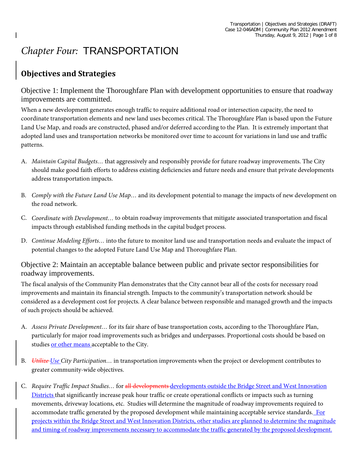# *Chapter Four:* TRANSPORTATION

# **Objectives and Strategies**

Objective 1: Implement the Thoroughfare Plan with development opportunities to ensure that roadway improvements are committed.

When a new development generates enough traffic to require additional road or intersection capacity, the need to coordinate transportation elements and new land uses becomes critical. The Thoroughfare Plan is based upon the Future Land Use Map, and roads are constructed, phased and/or deferred according to the Plan. It is extremely important that adopted land uses and transportation networks be monitored over time to account for variations in land use and traffic patterns.

- A. *Maintain Capital Budgets…* that aggressively and responsibly provide for future roadway improvements. The City should make good faith efforts to address existing deficiencies and future needs and ensure that private developments address transportation impacts.
- B. *Comply with the Future Land Use Map…* and its development potential to manage the impacts of new development on the road network.
- C. *Coordinate with Development…* to obtain roadway improvements that mitigate associated transportation and fiscal impacts through established funding methods in the capital budget process.
- D. *Continue Modeling Efforts…* into the future to monitor land use and transportation needs and evaluate the impact of potential changes to the adopted Future Land Use Map and Thoroughfare Plan.

Objective 2: Maintain an acceptable balance between public and private sector responsibilities for roadway improvements.

The fiscal analysis of the Community Plan demonstrates that the City cannot bear all of the costs for necessary road improvements and maintain its financial strength. Impacts to the community's transportation network should be considered as a development cost for projects. A clear balance between responsible and managed growth and the impacts of such projects should be achieved.

- A. *Assess Private Development…* for its fair share of base transportation costs, according to the Thoroughfare Plan, particularly for major road improvements such as bridges and underpasses. Proportional costs should be based on studies or other means acceptable to the City.
- B. *Utilize Use City Participation…* in transportation improvements when the project or development contributes to greater community-wide objectives.
- C. *Require Traffic Impact Studies…* for all developments developments outside the Bridge Street and West Innovation Districts that significantly increase peak hour traffic or create operational conflicts or impacts such as turning movements, driveway locations, etc. Studies will determine the magnitude of roadway improvements required to accommodate traffic generated by the proposed development while maintaining acceptable service standards. For projects within the Bridge Street and West Innovation Districts, other studies are planned to determine the magnitude and timing of roadway improvements necessary to accommodate the traffic generated by the proposed development.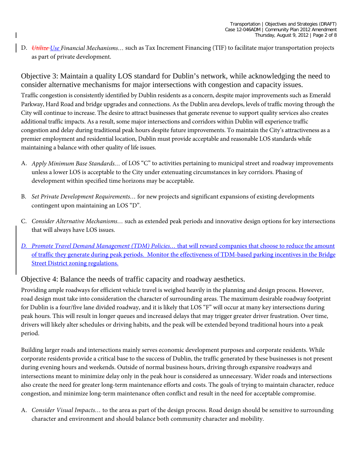D. *Utilize Use Financial Mechanisms…* such as Tax Increment Financing (TIF) to facilitate major transportation projects as part of private development.

Objective 3: Maintain a quality LOS standard for Dublin's network, while acknowledging the need to consider alternative mechanisms for major intersections with congestion and capacity issues. Traffic congestion is consistently identified by Dublin residents as a concern, despite major improvements such as Emerald Parkway, Hard Road and bridge upgrades and connections. As the Dublin area develops, levels of traffic moving through the City will continue to increase. The desire to attract businesses that generate revenue to support quality services also creates additional traffic impacts. As a result, some major intersections and corridors within Dublin will experience traffic congestion and delay during traditional peak hours despite future improvements. To maintain the City's attractiveness as a premier employment and residential location, Dublin must provide acceptable and reasonable LOS standards while maintaining a balance with other quality of life issues.

- A. *Apply Minimum Base Standards…* of LOS "C" to activities pertaining to municipal street and roadway improvements unless a lower LOS is acceptable to the City under extenuating circumstances in key corridors. Phasing of development within specified time horizons may be acceptable.
- B. *Set Private Development Requirements…* for new projects and significant expansions of existing developments contingent upon maintaining an LOS "D".
- C. *Consider Alternative Mechanisms…* such as extended peak periods and innovative design options for key intersections that will always have LOS issues.
- *D. Promote Travel Demand Management (TDM) Policies…* that will reward companies that choose to reduce the amount of traffic they generate during peak periods. Monitor the effectiveness of TDM-based parking incentives in the Bridge Street District zoning regulations.

#### Objective 4: Balance the needs of traffic capacity and roadway aesthetics.

Providing ample roadways for efficient vehicle travel is weighed heavily in the planning and design process. However, road design must take into consideration the character of surrounding areas. The maximum desirable roadway footprint for Dublin is a four/five lane divided roadway, and it is likely that LOS "F" will occur at many key intersections during peak hours. This will result in longer queues and increased delays that may trigger greater driver frustration. Over time, drivers will likely alter schedules or driving habits, and the peak will be extended beyond traditional hours into a peak period.

Building larger roads and intersections mainly serves economic development purposes and corporate residents. While corporate residents provide a critical base to the success of Dublin, the traffic generated by these businesses is not present during evening hours and weekends. Outside of normal business hours, driving through expansive roadways and intersections meant to minimize delay only in the peak hour is considered as unnecessary. Wider roads and intersections also create the need for greater long-term maintenance efforts and costs. The goals of trying to maintain character, reduce congestion, and minimize long-term maintenance often conflict and result in the need for acceptable compromise.

A. *Consider Visual Impacts…* to the area as part of the design process. Road design should be sensitive to surrounding character and environment and should balance both community character and mobility.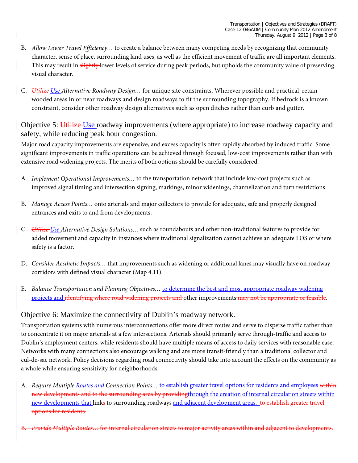- B. *Allow Lower Travel Efficiency…* to create a balance between many competing needs by recognizing that community character, sense of place, surrounding land uses, as well as the efficient movement of traffic are all important elements. This may result in slightly lower levels of service during peak periods, but upholds the community value of preserving visual character.
- C. *Utilize Use Alternative Roadway Design…* for unique site constraints. Wherever possible and practical, retain wooded areas in or near roadways and design roadways to fit the surrounding topography. If bedrock is a known constraint, consider other roadway design alternatives such as open ditches rather than curb and gutter.

Objective 5: Utilize Use roadway improvements (where appropriate) to increase roadway capacity and safety, while reducing peak hour congestion.

Major road capacity improvements are expensive, and excess capacity is often rapidly absorbed by induced traffic. Some significant improvements in traffic operations can be achieved through focused, low-cost improvements rather than with extensive road widening projects. The merits of both options should be carefully considered.

- A. *Implement Operational Improvements…* to the transportation network that include low-cost projects such as improved signal timing and intersection signing, markings, minor widenings, channelization and turn restrictions.
- B. *Manage Access Points…* onto arterials and major collectors to provide for adequate, safe and properly designed entrances and exits to and from developments.
- C. *Utilize Use Alternative Design Solutions…* such as roundabouts and other non-traditional features to provide for added movement and capacity in instances where traditional signalization cannot achieve an adequate LOS or where safety is a factor.
- D. *Consider Aesthetic Impacts…* that improvements such as widening or additional lanes may visually have on roadway corridors with defined visual character (Map 4.11).
- E. *Balance Transportation and Planning Objectives…* to determine the best and most appropriate roadway widening projects and identifying where road widening projects and other improvements may not be appropriate or feasible.

# Objective 6: Maximize the connectivity of Dublin's roadway network.

Transportation systems with numerous interconnections offer more direct routes and serve to disperse traffic rather than to concentrate it on major arterials at a few intersections. Arterials should primarily serve through-traffic and access to Dublin's employment centers, while residents should have multiple means of access to daily services with reasonable ease. Networks with many connections also encourage walking and are more transit-friendly than a traditional collector and cul-de-sac network. Policy decisions regarding road connectivity should take into account the effects on the community as a whole while ensuring sensitivity for neighborhoods.

- A. *Require Multiple Routes and Connection Points…* to establish greater travel options for residents and employees within new developments and to the surrounding area by providingthrough the creation of internal circulation streets within new developments that links to surrounding roadways and adjacent development areas. to establish greater travel options for residents.
- B. *Provide Multiple Routes…* for internal circulation streets to major activity areas within and adjacent to developments.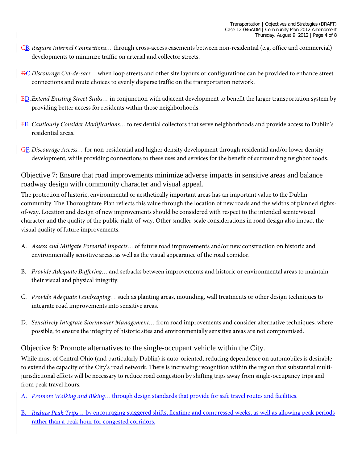- CB. *Require Internal Connections…* through cross-access easements between non-residential (e.g. office and commercial) developments to minimize traffic on arterial and collector streets.
- DC.*Discourage Cul-de-sacs…* when loop streets and other site layouts or configurations can be provided to enhance street connections and route choices to evenly disperse traffic on the transportation network.
- ED.*Extend Existing Street Stubs…* in conjunction with adjacent development to benefit the larger transportation system by providing better access for residents within those neighborhoods.
- FE. *Cautiously Consider Modifications…* to residential collectors that serve neighborhoods and provide access to Dublin's residential areas.
- GF. *Discourage Access…* for non-residential and higher density development through residential and/or lower density development, while providing connections to these uses and services for the benefit of surrounding neighborhoods.

Objective 7: Ensure that road improvements minimize adverse impacts in sensitive areas and balance roadway design with community character and visual appeal.

The protection of historic, environmental or aesthetically important areas has an important value to the Dublin community. The Thoroughfare Plan reflects this value through the location of new roads and the widths of planned rightsof-way. Location and design of new improvements should be considered with respect to the intended scenic/visual character and the quality of the public right-of-way. Other smaller-scale considerations in road design also impact the visual quality of future improvements.

- A. *Assess and Mitigate Potential Impacts…* of future road improvements and/or new construction on historic and environmentally sensitive areas, as well as the visual appearance of the road corridor.
- B. *Provide Adequate Buffering…* and setbacks between improvements and historic or environmental areas to maintain their visual and physical integrity.
- C. *Provide Adequate Landscaping…* such as planting areas, mounding, wall treatments or other design techniques to integrate road improvements into sensitive areas.
- D. *Sensitively Integrate Stormwater Management…* from road improvements and consider alternative techniques, where possible, to ensure the integrity of historic sites and environmentally sensitive areas are not compromised.

# Objective 8: Promote alternatives to the single-occupant vehicle within the City.

While most of Central Ohio (and particularly Dublin) is auto-oriented, reducing dependence on automobiles is desirable to extend the capacity of the City's road network. There is increasing recognition within the region that substantial multijurisdictional efforts will be necessary to reduce road congestion by shifting trips away from single-occupancy trips and from peak travel hours.

A. *Promote Walking and Biking…* through design standards that provide for safe travel routes and facilities.

B. *Reduce Peak Trips…* by encouraging staggered shifts, flextime and compressed weeks, as well as allowing peak periods rather than a peak hour for congested corridors.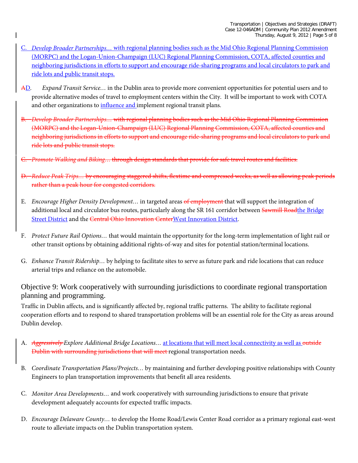- C. *Develop Broader Partnerships…* with regional planning bodies such as the Mid Ohio Regional Planning Commission (MORPC) and the Logan-Union-Champaign (LUC) Regional Planning Commission, COTA, affected counties and neighboring jurisdictions in efforts to support and encourage ride-sharing programs and local circulators to park and ride lots and public transit stops.
- AD. *Expand Transit Service…* in the Dublin area to provide more convenient opportunities for potential users and to provide alternative modes of travel to employment centers within the City. It will be important to work with COTA and other organizations to influence and implement regional transit plans.
- B. *Develop Broader Partnerships…* with regional planning bodies such as the Mid Ohio Regional Planning Commission (MORPC) and the Logan-Union-Champaign (LUC) Regional Planning Commission, COTA, affected counties and neighboring jurisdictions in efforts to support and encourage ride-sharing programs and local circulators to park and ride lots and public transit stops.
- C. *Promote Walking and Biking…* through design standards that provide for safe travel routes and facilities.
- D. *Reduce Peak Trips…* by encouraging staggered shifts, flextime and compressed weeks, as well as allowing peak periods rather than a peak hour for congested corridors.
- E. *Encourage Higher Density Development…* in targeted areas of employment that will support the integration of additional local and circulator bus routes, particularly along the SR 161 corridor between Sawmill Roadthe Bridge Street District and the Central Ohio Innovation CenterWest Innovation District.
- F. *Protect Future Rail Options…* that would maintain the opportunity for the long-term implementation of light rail or other transit options by obtaining additional rights-of-way and sites for potential station/terminal locations.
- G. *Enhance Transit Ridership…* by helping to facilitate sites to serve as future park and ride locations that can reduce arterial trips and reliance on the automobile.

#### Objective 9: Work cooperatively with surrounding jurisdictions to coordinate regional transportation planning and programming.

Traffic in Dublin affects, and is significantly affected by, regional traffic patterns. The ability to facilitate regional cooperation efforts and to respond to shared transportation problems will be an essential role for the City as areas around Dublin develop.

- A. *Aggressively Explore Additional Bridge Locations…* at locations that will meet local connectivity as well as outside Dublin with surrounding jurisdictions that will meet regional transportation needs.
- B. *Coordinate Transportation Plans/Projects…* by maintaining and further developing positive relationships with County Engineers to plan transportation improvements that benefit all area residents.
- C. *Monitor Area Developments…* and work cooperatively with surrounding jurisdictions to ensure that private development adequately accounts for expected traffic impacts.
- D. *Encourage Delaware County…* to develop the Home Road/Lewis Center Road corridor as a primary regional east-west route to alleviate impacts on the Dublin transportation system.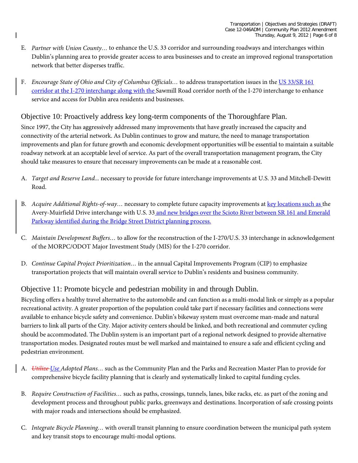- E. *Partner with Union County…* to enhance the U.S. 33 corridor and surrounding roadways and interchanges within Dublin's planning area to provide greater access to area businesses and to create an improved regional transportation network that better disperses traffic.
- F. *Encourage State of Ohio and City of Columbus Officials…* to address transportation issues in the US 33/SR 161 corridor at the I-270 interchange along with the Sawmill Road corridor north of the I-270 interchange to enhance service and access for Dublin area residents and businesses.

#### Objective 10: Proactively address key long-term components of the Thoroughfare Plan.

Since 1997, the City has aggressively addressed many improvements that have greatly increased the capacity and connectivity of the arterial network. As Dublin continues to grow and mature, the need to manage transportation improvements and plan for future growth and economic development opportunities will be essential to maintain a suitable roadway network at an acceptable level of service. As part of the overall transportation management program, the City should take measures to ensure that necessary improvements can be made at a reasonable cost.

- A. *Target and Reserve Land...* necessary to provide for future interchange improvements at U.S. 33 and Mitchell-Dewitt Road.
- B. *Acquire Additional Rights-of-way…* necessary to complete future capacity improvements at key locations such as the Avery-Muirfield Drive interchange with U.S. 33 and new bridges over the Scioto River between SR 161 and Emerald Parkway identified during the Bridge Street District planning process.
- C. *Maintain Development Buffers…* to allow for the reconstruction of the I-270/U.S. 33 interchange in acknowledgement of the MORPC/ODOT Major Investment Study (MIS) for the I-270 corridor.
- D. *Continue Capital Project Prioritization…* in the annual Capital Improvements Program (CIP) to emphasize transportation projects that will maintain overall service to Dublin's residents and business community.

# Objective 11: Promote bicycle and pedestrian mobility in and through Dublin.

Bicycling offers a healthy travel alternative to the automobile and can function as a multi-modal link or simply as a popular recreational activity. A greater proportion of the population could take part if necessary facilities and connections were available to enhance bicycle safety and convenience. Dublin's bikeway system must overcome man-made and natural barriers to link all parts of the City. Major activity centers should be linked, and both recreational and commuter cycling should be accommodated. The Dublin system is an important part of a regional network designed to provide alternative transportation modes. Designated routes must be well marked and maintained to ensure a safe and efficient cycling and pedestrian environment.

- A. *Utilize Use Adopted Plans…* such as the Community Plan and the Parks and Recreation Master Plan to provide for comprehensive bicycle facility planning that is clearly and systematically linked to capital funding cycles.
- B. *Require Construction of Facilities…* such as paths, crossings, tunnels, lanes, bike racks, etc. as part of the zoning and development process and throughout public parks, greenways and destinations. Incorporation of safe crossing points with major roads and intersections should be emphasized.
- C. *Integrate Bicycle Planning…* with overall transit planning to ensure coordination between the municipal path system and key transit stops to encourage multi-modal options.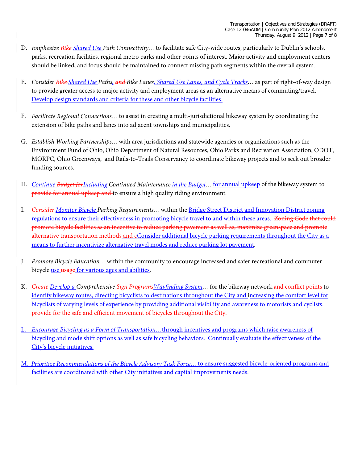- D. *Emphasize Bike Shared Use Path Connectivity…* to facilitate safe City-wide routes, particularly to Dublin's schools, parks, recreation facilities, regional metro parks and other points of interest. Major activity and employment centers should be linked, and focus should be maintained to connect missing path segments within the overall system.
- E. *Consider Bike Shared Use Paths, and Bike Lanes, Shared Use Lanes, and Cycle Tracks…* as part of right-of-way design to provide greater access to major activity and employment areas as an alternative means of commuting/travel. Develop design standards and criteria for these and other bicycle facilities.
- F. *Facilitate Regional Connections…* to assist in creating a multi-jurisdictional bikeway system by coordinating the extension of bike paths and lanes into adjacent townships and municipalities.
- G. *Establish Working Partnerships…* with area jurisdictions and statewide agencies or organizations such as the Environment Fund of Ohio, Ohio Department of Natural Resources, Ohio Parks and Recreation Association, ODOT, MORPC, Ohio Greenways, and Rails-to-Trails Conservancy to coordinate bikeway projects and to seek out broader funding sources.
- H. *Continue Budget forIncluding Continued Maintenance in the Budget…* for annual upkeep of the bikeway system to provide for annual upkeep and to ensure a high quality riding environment.
- I. *Consider Monitor Bicycle Parking Requirements…* within the Bridge Street District and Innovation District zoning regulations to ensure their effectiveness in promoting bicycle travel to and within these areas. Zoning Code that could promote bicycle facilities as an incentive to reduce parking pavement as well as, maximize greenspace and promote alternative transportation methods and eConsider additional bicycle parking requirements throughout the City as a means to further incentivize alternative travel modes and reduce parking lot pavement.
- J. *Promote Bicycle Education…* within the community to encourage increased and safer recreational and commuter bicycle use usage for various ages and abilities.
- K. *Create Develop a Comprehensive Sign ProgramsWayfinding System…* for the bikeway network and conflict points to identify bikeway routes, directing bicyclists to destinations throughout the City and increasing the comfort level for bicyclists of varying levels of experience by providing additional visibility and awareness to motorists and cyclists. provide for the safe and efficient movement of bicycles throughout the City.
- L. *Encourage Bicycling as a Form of Transportation*…through incentives and programs which raise awareness of bicycling and mode shift options as well as safe bicycling behaviors. Continually evaluate the effectiveness of the City's bicycle initiatives.
- M. *Prioritize Recommendations of the Bicycle Advisory Task Force…* to ensure suggested bicycle-oriented programs and facilities are coordinated with other City initiatives and capital improvements needs.